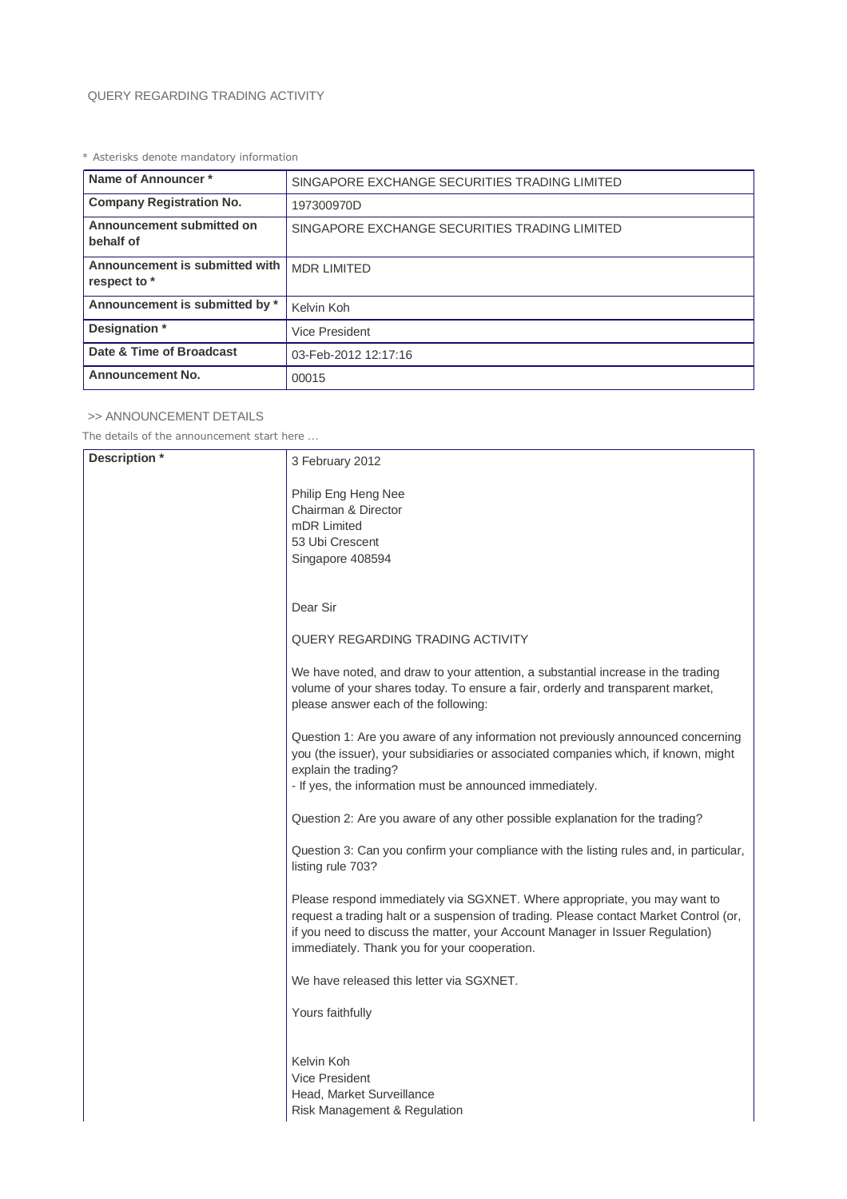## QUERY REGARDING TRADING ACTIVITY

*\* Asterisks denote mandatory information*

| Name of Announcer*                             | SINGAPORE EXCHANGE SECURITIES TRADING LIMITED |
|------------------------------------------------|-----------------------------------------------|
| <b>Company Registration No.</b>                | 197300970D                                    |
| Announcement submitted on<br>behalf of         | SINGAPORE EXCHANGE SECURITIES TRADING LIMITED |
| Announcement is submitted with<br>respect to * | <b>MDR LIMITED</b>                            |
| Announcement is submitted by *                 | Kelvin Koh                                    |
| Designation *                                  | <b>Vice President</b>                         |
| Date & Time of Broadcast                       | 03-Feb-2012 12:17:16                          |
| <b>Announcement No.</b>                        | 00015                                         |

## >> ANNOUNCEMENT DETAILS

*The details of the announcement start here ...*

| Description * | 3 February 2012                                                                                                                                                                                                                                                                                     |
|---------------|-----------------------------------------------------------------------------------------------------------------------------------------------------------------------------------------------------------------------------------------------------------------------------------------------------|
|               | Philip Eng Heng Nee<br>Chairman & Director<br>mDR Limited<br>53 Ubi Crescent<br>Singapore 408594                                                                                                                                                                                                    |
|               | Dear Sir                                                                                                                                                                                                                                                                                            |
|               | QUERY REGARDING TRADING ACTIVITY                                                                                                                                                                                                                                                                    |
|               | We have noted, and draw to your attention, a substantial increase in the trading<br>volume of your shares today. To ensure a fair, orderly and transparent market,<br>please answer each of the following:                                                                                          |
|               | Question 1: Are you aware of any information not previously announced concerning<br>you (the issuer), your subsidiaries or associated companies which, if known, might<br>explain the trading?<br>- If yes, the information must be announced immediately.                                          |
|               | Question 2: Are you aware of any other possible explanation for the trading?                                                                                                                                                                                                                        |
|               | Question 3: Can you confirm your compliance with the listing rules and, in particular,<br>listing rule 703?                                                                                                                                                                                         |
|               | Please respond immediately via SGXNET. Where appropriate, you may want to<br>request a trading halt or a suspension of trading. Please contact Market Control (or,<br>if you need to discuss the matter, your Account Manager in Issuer Regulation)<br>immediately. Thank you for your cooperation. |
|               | We have released this letter via SGXNET.                                                                                                                                                                                                                                                            |
|               | Yours faithfully                                                                                                                                                                                                                                                                                    |
|               | Kelvin Koh<br><b>Vice President</b><br>Head, Market Surveillance<br>Risk Management & Regulation                                                                                                                                                                                                    |